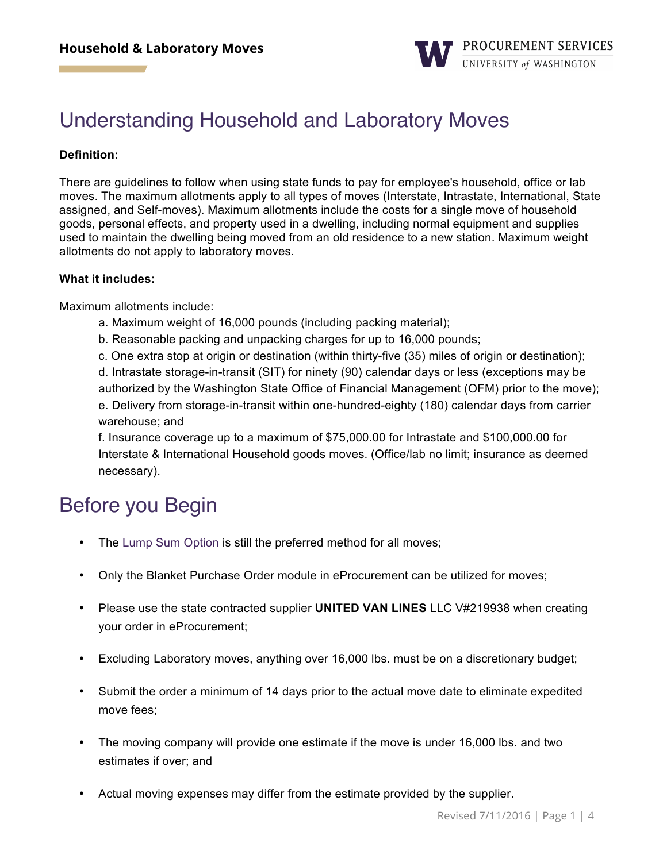

# Understanding Household and Laboratory Moves

#### **Definition:**

There are guidelines to follow when using state funds to pay for employee's household, office or lab moves. The maximum allotments apply to all types of moves (Interstate, Intrastate, International, State assigned, and Self-moves). Maximum allotments include the costs for a single move of household goods, personal effects, and property used in a dwelling, including normal equipment and supplies used to maintain the dwelling being moved from an old residence to a new station. Maximum weight allotments do not apply to laboratory moves.

#### **What it includes:**

Maximum allotments include:

- a. Maximum weight of 16,000 pounds (including packing material);
- b. Reasonable packing and unpacking charges for up to 16,000 pounds;

c. One extra stop at origin or destination (within thirty-five (35) miles of origin or destination); d. Intrastate storage-in-transit (SIT) for ninety (90) calendar days or less (exceptions may be authorized by the Washington State Office of Financial Management (OFM) prior to the move); e. Delivery from storage-in-transit within one-hundred-eighty (180) calendar days from carrier warehouse; and

f. Insurance coverage up to a maximum of \$75,000.00 for Intrastate and \$100,000.00 for Interstate & International Household goods moves. (Office/lab no limit; insurance as deemed necessary).

# Before you Begin

- The [Lump Sum Option](http://f2.washington.edu/fm/payroll/payroll-coordinators-guide/payments/moving-expenses) is still the preferred method for all moves;
- Only the Blanket Purchase Order module in eProcurement can be utilized for moves;
- Please use the state contracted supplier **UNITED VAN LINES** LLC V#219938 when creating your order in eProcurement;
- Excluding Laboratory moves, anything over 16,000 lbs. must be on a discretionary budget;
- Submit the order a minimum of 14 days prior to the actual move date to eliminate expedited move fees;
- The moving company will provide one estimate if the move is under 16,000 lbs. and two estimates if over; and
- Actual moving expenses may differ from the estimate provided by the supplier.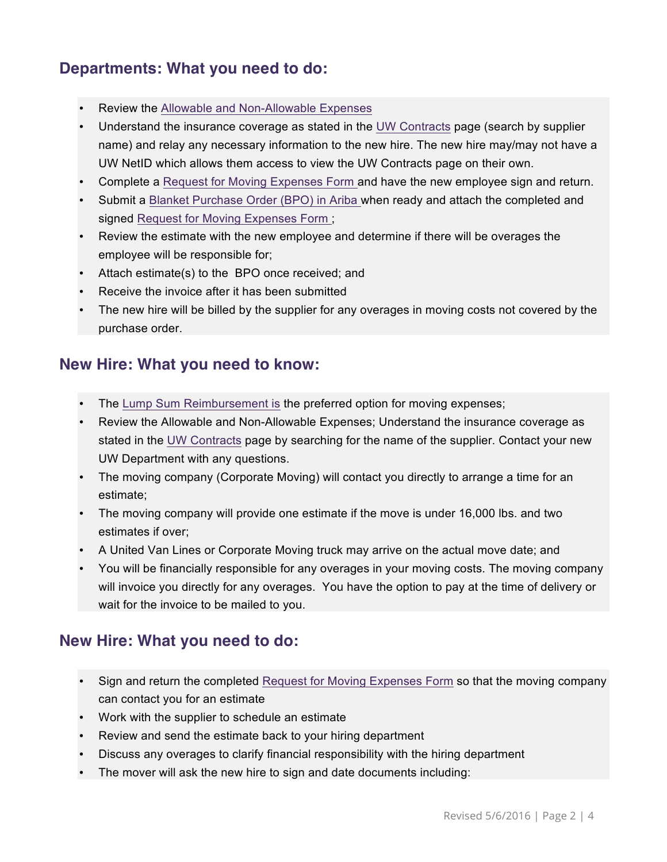## **Departments: What you need to do:**

- Review the Allowable and Non-Allowable Expenses
- Understand the insurance coverage as stated in the [UW Contracts](https://themis.pur.washington.edu/prd/con_index.php) page (search by supplier name) and relay any necessary information to the new hire. The new hire may/may not have a UW NetID which allows them access to view the UW Contracts page on their own.
- Complete a [Request for Moving Expenses Form](https://f2.washington.edu/fm/ps/sites/default/files/forms/buy/MovingExpensesRequestForm.pdf) and have the new employee sign and return.
- Submit a [Blanket Purchase Order \(BPO\) in Ariba](f2.washington.edu/fm/ps/how-to-buy/ariba/blanket-purchase-orders) when ready and attach the completed and signed [Request for Moving Expenses Form](https://f2.washington.edu/fm/ps/sites/default/files/forms/buy/MovingExpensesRequestForm.pdf) ;
- Review the estimate with the new employee and determine if there will be overages the employee will be responsible for;
- Attach estimate(s) to the BPO once received; and
- Receive the invoice after it has been submitted
- The new hire will be billed by the supplier for any overages in moving costs not covered by the purchase order.

### **New Hire: What you need to know:**

- The [Lump Sum Reimbursement](http://f2.washington.edu/fm/payroll/payroll-coordinators-guide/payments/moving-expenses) is the preferred option for moving expenses;
- Review the Allowable and Non-Allowable Expenses; Understand the insurance coverage as stated in the [UW Contracts](https://themis.pur.washington.edu/prd/con_index.php) page by searching for the name of the supplier. Contact your new UW Department with any questions.
- The moving company (Corporate Moving) will contact you directly to arrange a time for an estimate;
- The moving company will provide one estimate if the move is under 16,000 lbs. and two estimates if over;
- A United Van Lines or Corporate Moving truck may arrive on the actual move date; and
- You will be financially responsible for any overages in your moving costs. The moving company will invoice you directly for any overages. You have the option to pay at the time of delivery or wait for the invoice to be mailed to you.

### **New Hire: What you need to do:**

- Sign and return the completed [Request for Moving Expenses Form](https://f2.washington.edu/fm/ps/sites/default/files/forms/buy/MovingExpensesRequestForm.pdf) so that the moving company can contact you for an estimate
- Work with the supplier to schedule an estimate
- Review and send the estimate back to your hiring department
- Discuss any overages to clarify financial responsibility with the hiring department
- The mover will ask the new hire to sign and date documents including: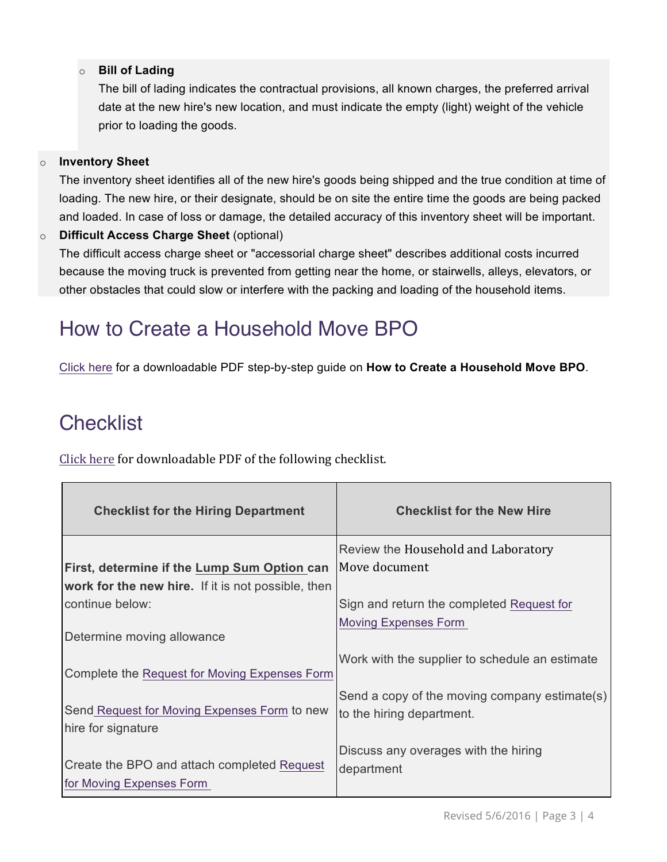#### o **Bill of Lading**

The bill of lading indicates the contractual provisions, all known charges, the preferred arrival date at the new hire's new location, and must indicate the empty (light) weight of the vehicle prior to loading the goods.

#### o **Inventory Sheet**

The inventory sheet identifies all of the new hire's goods being shipped and the true condition at time of loading. The new hire, or their designate, should be on site the entire time the goods are being packed and loaded. In case of loss or damage, the detailed accuracy of this inventory sheet will be important.

#### o **Difficult Access Charge Sheet** (optional)

The difficult access charge sheet or "accessorial charge sheet" describes additional costs incurred because the moving truck is prevented from getting near the home, or stairwells, alleys, elevators, or other obstacles that could slow or interfere with the packing and loading of the household items.

# How to Create a Household Move BPO

[Click here](https://f2.washington.edu/fm/ps/sites/default/files/training-and-events/how-to-guides/HowtoCreateHouseholdMoveBPO.pdf) for a downloadable PDF step-by-step guide on **How to Create a Household Move BPO**.

# **Checklist**

Click here for downloadable PDF of the following checklist.

| <b>Checklist for the Hiring Department</b>         | <b>Checklist for the New Hire</b>              |
|----------------------------------------------------|------------------------------------------------|
|                                                    | Review the Household and Laboratory            |
| First, determine if the Lump Sum Option can        | Move document                                  |
| work for the new hire. If it is not possible, then |                                                |
| continue below:                                    | Sign and return the completed Request for      |
|                                                    | <b>Moving Expenses Form</b>                    |
| Determine moving allowance                         |                                                |
|                                                    | Work with the supplier to schedule an estimate |
| Complete the Request for Moving Expenses Form      |                                                |
|                                                    | Send a copy of the moving company estimate(s)  |
| Send Request for Moving Expenses Form to new       | to the hiring department.                      |
| hire for signature                                 |                                                |
|                                                    | Discuss any overages with the hiring           |
| Create the BPO and attach completed Request        | department                                     |
| for Moving Expenses Form                           |                                                |